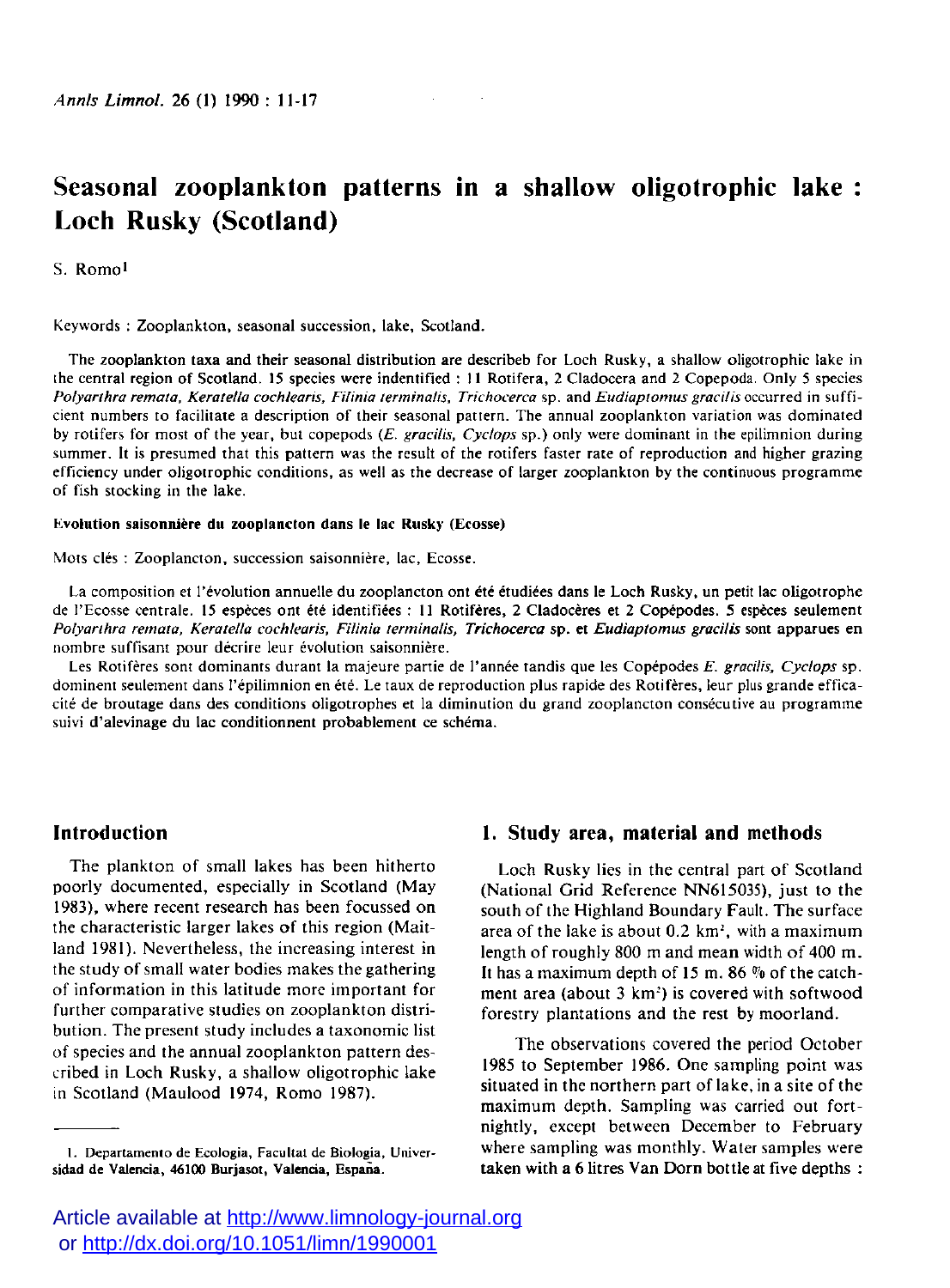# **Seasonal zooplankton patterns in a shallow oligotrophic lake Loch Rusky (Scotland)**

s. Romoi

Keywords : Zooplankton, seasonal succession, lake, Scotland.

The zooplankton taxa and their seasonal distribution are describeb for Loch Rusky, a shallow oligotrophic lake in the central region of Scotland. 15 species were indentified : 11 Rotifera, 2 Cladocera and 2 Copepoda. Only 5 species *Polyarlhra remata, Keratella cochlearis, Fifinia lerminalis, Trichocerca* sp . and *Eudiaptomus gracilis* occurred In sufficient numbers to facilitate a description of their seasonal pattern. The annual zooplankton variation was dominated by rotifers for most of the year, but copepods (£. *gracilis, Cyclops* sp.) only were dominant in the epilimnion during summer. It is presumed that this pattern was the result of the rotifers faster rate of reproduction and higher grazing efficiency under oligotrophic conditions, as well as the decrease of larger zooplankton by the continuous programme of fish stocking in the lake.

#### Evolution saisonnière du zooplancton dans le lac Rusky (Ecosse)

Mots clés : Zooplancton, succession saisonnière, lac, Ecosse.

La composition et l'évolution annuelle du zooplancton ont été étudiées dans le Loch Rusky, un petit lac oligotrophe de l'Ecosse centrale. 15 espèces ont été identifiées : 11 Rotifères, 2 Cladocères et 2 Copépodes. 5 espèces seulement *Polyarlhra remaia, Keratella cochlearis, Filinia lerminalis, Trichocerca* sp. et *Eudiaplomus gracilis* sont apparues en nombre suffisant pour décrire leur évolution saisonnière.

Les Rotifères sont dominants durant la majeure partie de l'année tandis que les Copépodes *E. gracilis, Cyclops* sp. dominent seulement dans l'épilimnion en été. Le taux de reproduction plus rapide des Rotifères, leur plus grande efficacité de broutage dans des conditions oligotrophes et la diminution du grand zooplancton consécutive au programme suivi d'alevinage du lac conditionnent probablement ce schéma.

# **Introduction**

The plankton of small lakes has been hitherto poorly documented, especially in Scotland (May 1983), where recent research has been focussed on the characteristic larger lakes of this region (Maitland 1981). Nevertheless, the increasing interest in the study of small water bodies makes the gathering of information in this latitude more important for further comparative studies on zooplankton distribution. The present study includes a taxonomic list of species and the annual zooplankton pattern described in Loch Rusky, a shallow oligotrophic lake in Scotland (Maulood 1974, Romo 1987).

# **1. Study area, material and methods**

Loch Rusky lies in the central part of Scotland (National Grid Reference NN615035), just to the south of the Highland Boundary Fault. The surface area of the lake is about  $0.2 \, \text{km}^2$ , with a maximum length of roughly 800 m and mean width of 400 m. It has a maximum depth of 15 m. 86  $%$  of the catchment area (about 3 km') is covered with softwood forestry plantations and the rest by moorland.

The observations covered the period October 1985 to September 1986. One sampling point was situated in the northern part of lake, in a site of the maximum depth. Sampling was carried out fortnightly, except between December to February where sampling was monthly. Water samples were **taken** with **a** 6 litres **Van** Dorn bottle at five depths :

**I.** Departamento de Ecologia. Facullat de Biologia. Univer**sidad de Valencia, 46100 Burjasot, Valencia, Espana.** 

Article available at <http://www.limnology-journal.org> or <http://dx.doi.org/10.1051/limn/1990001>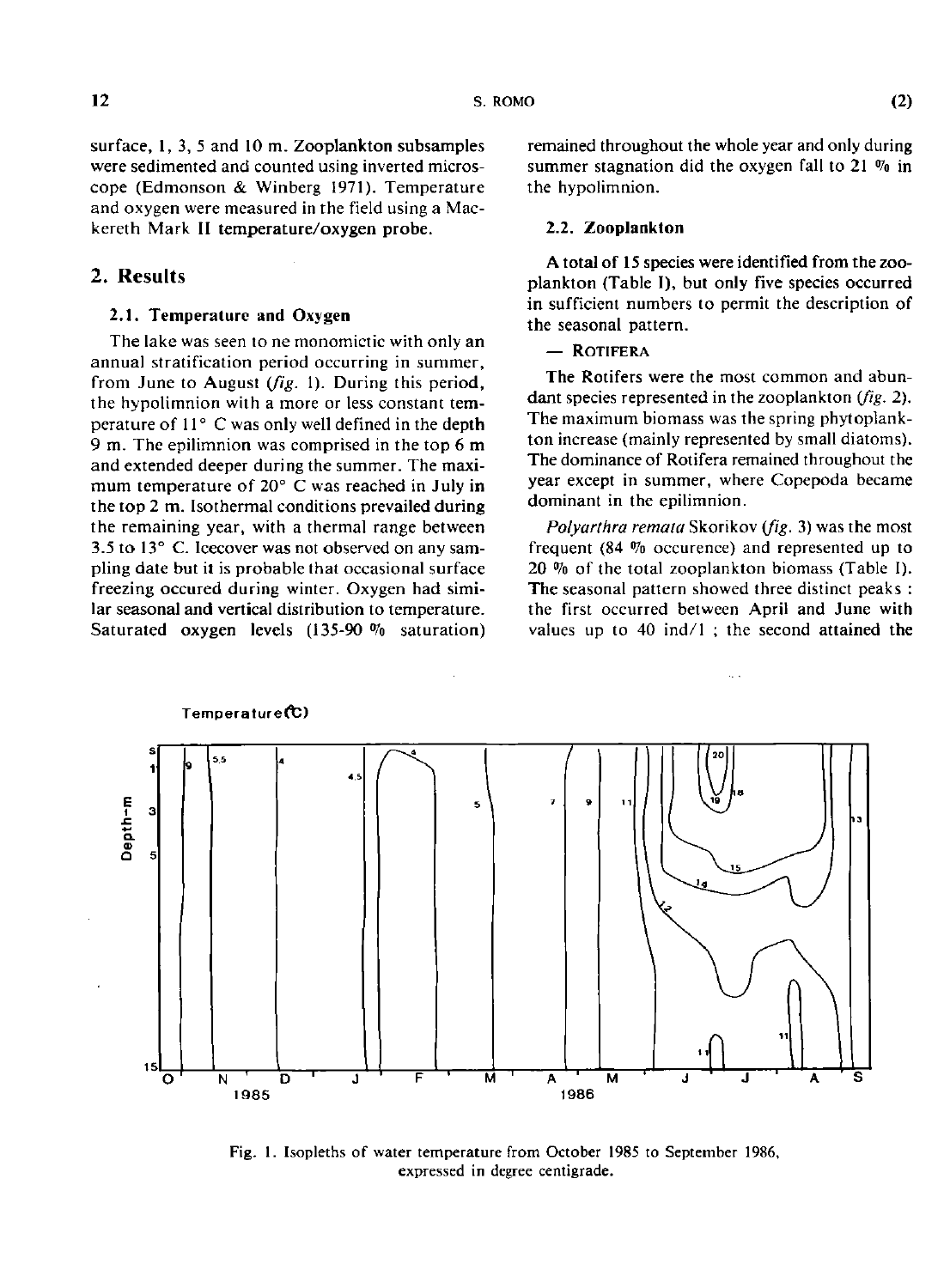surface, I, 3, 5 and 10 m. Zooplankton subsamples were sedimented and counted using inverted microscope (Edmonson & Winberg 1971). Temperature and oxygen were measured in the **field** using a Mackereth Mark II **temperature/oxygen probe.** 

## **2. Results**

## **2.1. Temperature and Oxygen**

The lake was seen to ne monomictic with only an annual stratification period occurring in summer, from June to August *(fig. 1)*. During this period, the hypolimnion with a more or less constant **tem**perature of 11° C was only well defined in the depth 9 m. The epilimnion was comprised in the top 6 **m**  and extended deeper during the summer. The maximum temperature of  $20^{\circ}$  C was reached in July in the top 2 **m.** Isothermal conditions prevailed during the remaining year, with a thermal range between 3.5 to 13° C. Icecover was not observed on any sampling date but it is probable that occasional surface freezing occured during winter. Oxygen had similar seasonal and vertical distribution to temperature. Saturated **oxygen** levels (135-90 % saturation) remained throughout the whole year and only during summer stagnation did the oxygen fall to 21 % in the hypolimnion.

#### **2.2. Zooplankton**

A **total of 15** species were identified **from** the **zoo**plankton (Table I), **but** only five species occurred in sufficient numbers to permit the description of the seasonal pattern.

## — ROTIFERA

The Rotifers were the most common and abundant species represented in the zooplankton *{fig. 2).*  The maximum biomass was the spring phytoplankton increase (mainly represented by small diatoms). The dominance of Rotifera remained throughout the year except in summer, where Copepoda became dominant in the epilimnion.

*Polyarlhra remata* Skorikov *(fig.* 3) was the most frequent (84 % occurence) and represented up to 20 % of the total zooplankton biomass (Table I). The seasonal pattern showed three distinct peaks : the first occurred between April and June with values up to 40 ind/l ; the second attained the



Fig. 1. Isopleths of water temperature from October 1985 to September 1986. expressed in degree centigrade.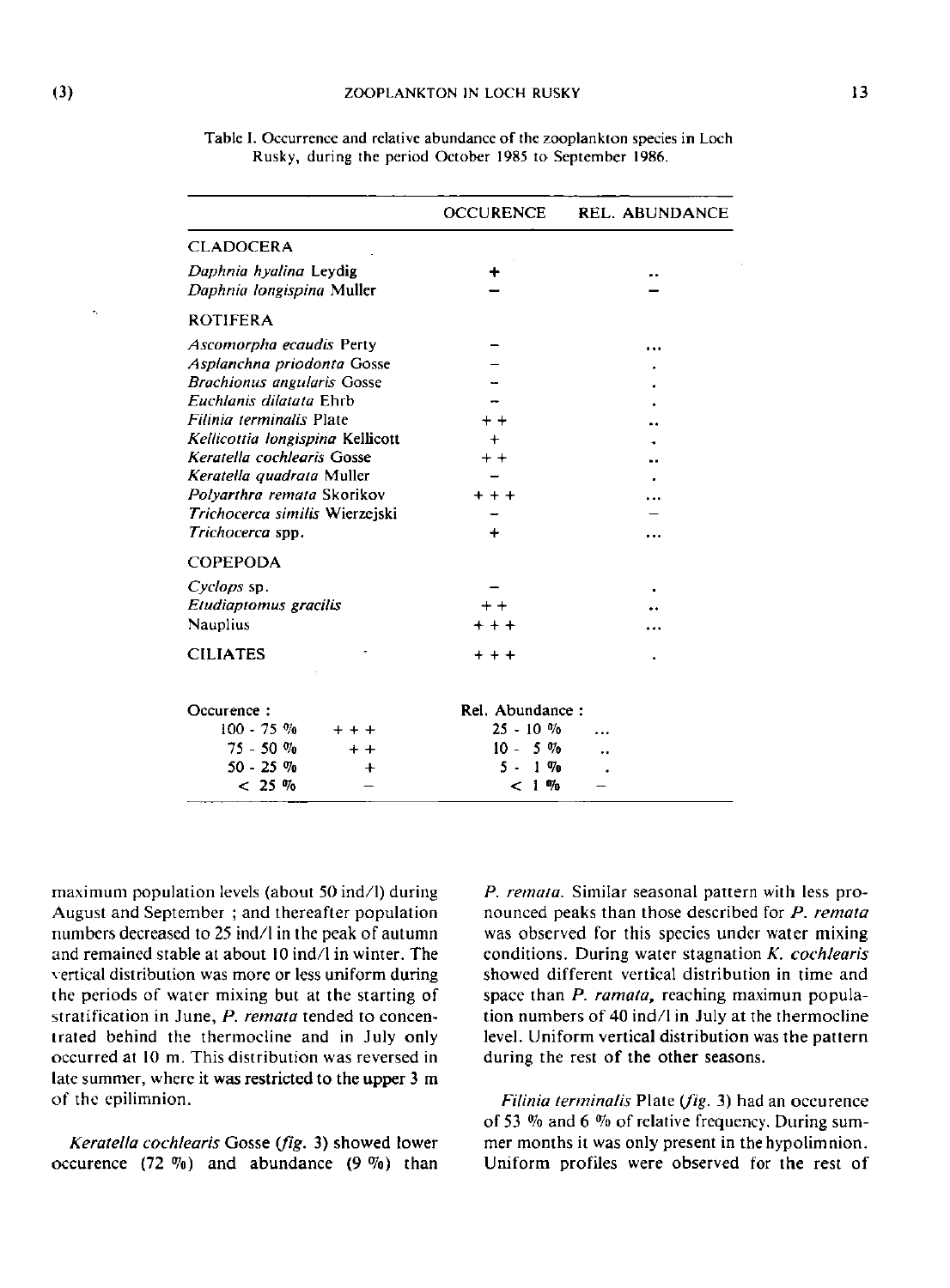|                                                     | <b>OCCURENCE</b> | <b>REL. ABUNDANCE</b> |
|-----------------------------------------------------|------------------|-----------------------|
| <b>CLADOCERA</b>                                    |                  |                       |
| Daphnia hyalina Leydig<br>Daphnia tongispina Muller |                  |                       |
| <b>ROTIFERA</b>                                     |                  |                       |
| Ascomorpha ecaudis Perty                            |                  |                       |
| Asplanchna priodonta Gosse                          |                  |                       |
| <b>Brachionus angularis Gosse</b>                   |                  |                       |
| Euchlanis dilatata Ehrb                             |                  |                       |
| Filinia terminalis Plate                            |                  |                       |
| Kellicottia longispina Kellicott                    |                  |                       |
| Keratella cochlearis Gosse                          |                  |                       |
| Keratella quadrata Muller                           |                  |                       |
| Polyarthra remata Skorikov                          |                  |                       |
| Trichocerca similis Wierzejski                      |                  |                       |
| Trichocerca spp.                                    |                  |                       |
| <b>COPEPODA</b>                                     |                  |                       |
| Cyclops sp.                                         |                  |                       |
| Etudiaptomus gracilis                               |                  |                       |
| Nauplius                                            | $***$            |                       |
| <b>CILIATES</b>                                     | $+ + +$          |                       |
| Occurence:                                          | Rel. Abundance:  |                       |
| $100 - 75$ %                                        | $25 - 10 \%$     |                       |
| $75 - 50 \%$                                        | $10 - 5\%$       |                       |
| $50 - 25$ %                                         | $1 \, \%$<br>5.  |                       |
| $< 25 \%$                                           | < 1%             |                       |

Table 1. Occurrence and relative abundance of the zooplankton species in Loch Rusky, during the period October 1985 to September 1986.

maximum population levels (about 50 ind/1) during August and September ; and thereafter population numbers decreased to 25 ind/1 in the peak of autumn and remained stable at about 10 ind/1 in winter. The \ertical distribution was more or less uniform during the periods of water mixing but at the starting of stratification in June, P. remata tended to concentrated behind the thermocline and in July only occurred at 10 m. This distribution was reversed in late summer, where it was restricted to the upper 3 m of the cpilimnion.

*Keratella cochlearis* Gosse *ifig.* 3) showed lower occurence  $(72 \%)$  and abundance  $(9 \%)$  than

*P. remata.* Similar seasonal pattern with less pronounced peaks than those described for *P. remata*  was observed for this species under water mixing conditions. During water stagnation *K. cochlearis*  showed different vertical distribution in time and space than P. ramata, reaching maximun population numbers of 40 ind/1 in July at the thermocline level. Uniform vertical distribution was the pattern during the rest of the other seasons.

*Filinia terminatis* Plate *(fig.* 3) had an occurence of 53 % and 6 % of relative frequency. During summer months it was only present in the hypolimnion. Uniform profiles were observed for the rest of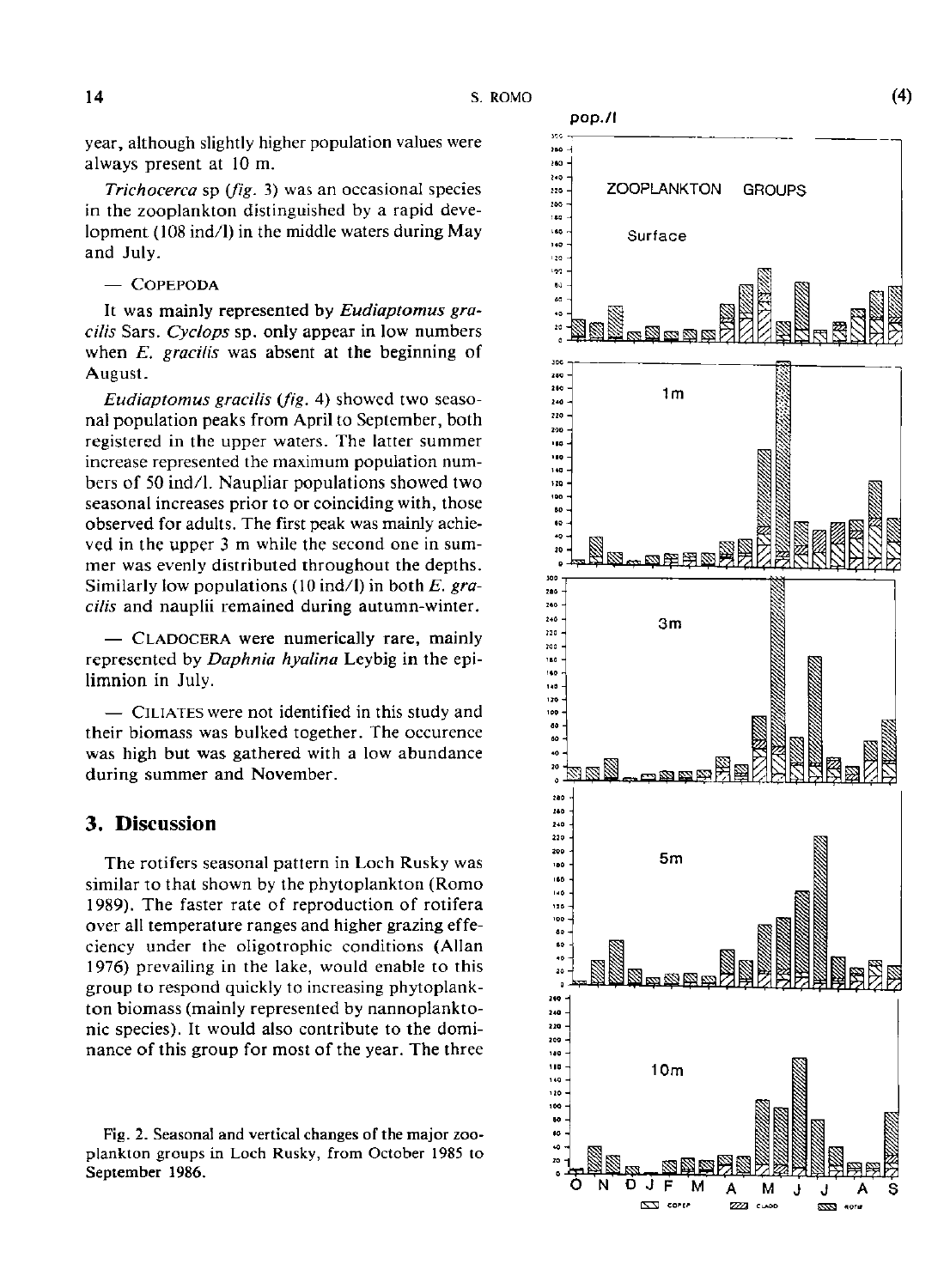year, although slightly higher population values were always present at 10 m.

*Trichocerca* sp *(fig.* 3) was an occasional species in the zooplankton distinguished by a rapid development (108 ind/l) in the middle waters during May and July.

 $-$  COPEPODA

It was mainly represented by *Eudiaptomus gracilis* Sars. *Cyclops* sp. only appear in low numbers when *E. gracilis* was absent at the beginning of August.

*Eudiaplomus gracilis (fig.* 4) showed two seasonal population peaks from April to September, both registered in the upper waters. The latter summer increase represented the maximum population numbers of 50 ind/l. Naupliar populations showed two seasonal increases prior to or coinciding with, those observed for adults. The first peak was mainly achieved in the upper 3 m while the second one in summer was evenly distributed throughout the depths. Similarly low populations (10 ind/l) in both *E. gracilis* and nauplii remained during autumn-winter.

- CLADOCERA were numerically rare, mainly represented by *Daphnia hyalina* Leybig in the epilimnion in July.

— CILIATE S were not identified in this study and their biomass was bulked together. The occurence was high but was gathered with a low abundance during summer and November.

## **3 . Discussion**

The rotifers seasonal pattern in Loch Rusky was similar to that shown by the phytoplankton (Romo 1989). The faster rate of reproduction of rotifera over all temperature ranges and higher grazing effeciency under the oligotrophic conditions (Allan 1976) prevailing in the lake, would enable to this group to respond quickly to increasing phytoplankton biomass (mainly represented by nannoplanktonic species). It would also contribute to the dominance of this group for most of the year. The three

Fig. 2. Seasonal and vertical changes of the major zooplankton groups in Loch Rusky, from October 1985 to September 1986.



 $\overline{C}$ corre **7771 CLADE** 

azza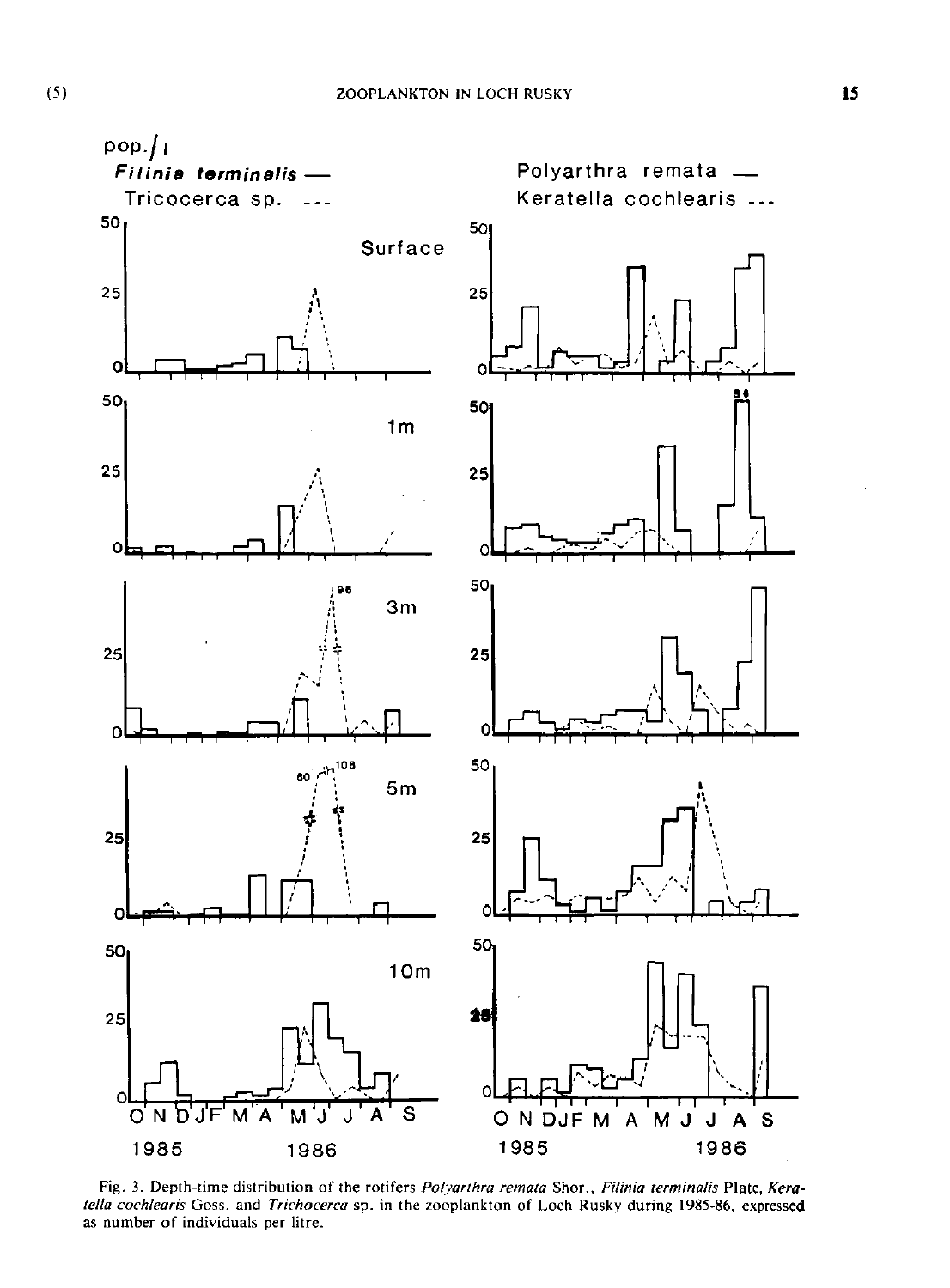

Fig. 3. Depth-time distribution of the rotifers *Polyarihra remata* Shor., *Filinia lerminalis* Plate, *Keratella cochlearis* Goss. and *Trichocerca* sp. in the zooplankton of Loch Rusky during 1985-86, expressed as number of individuals per litre.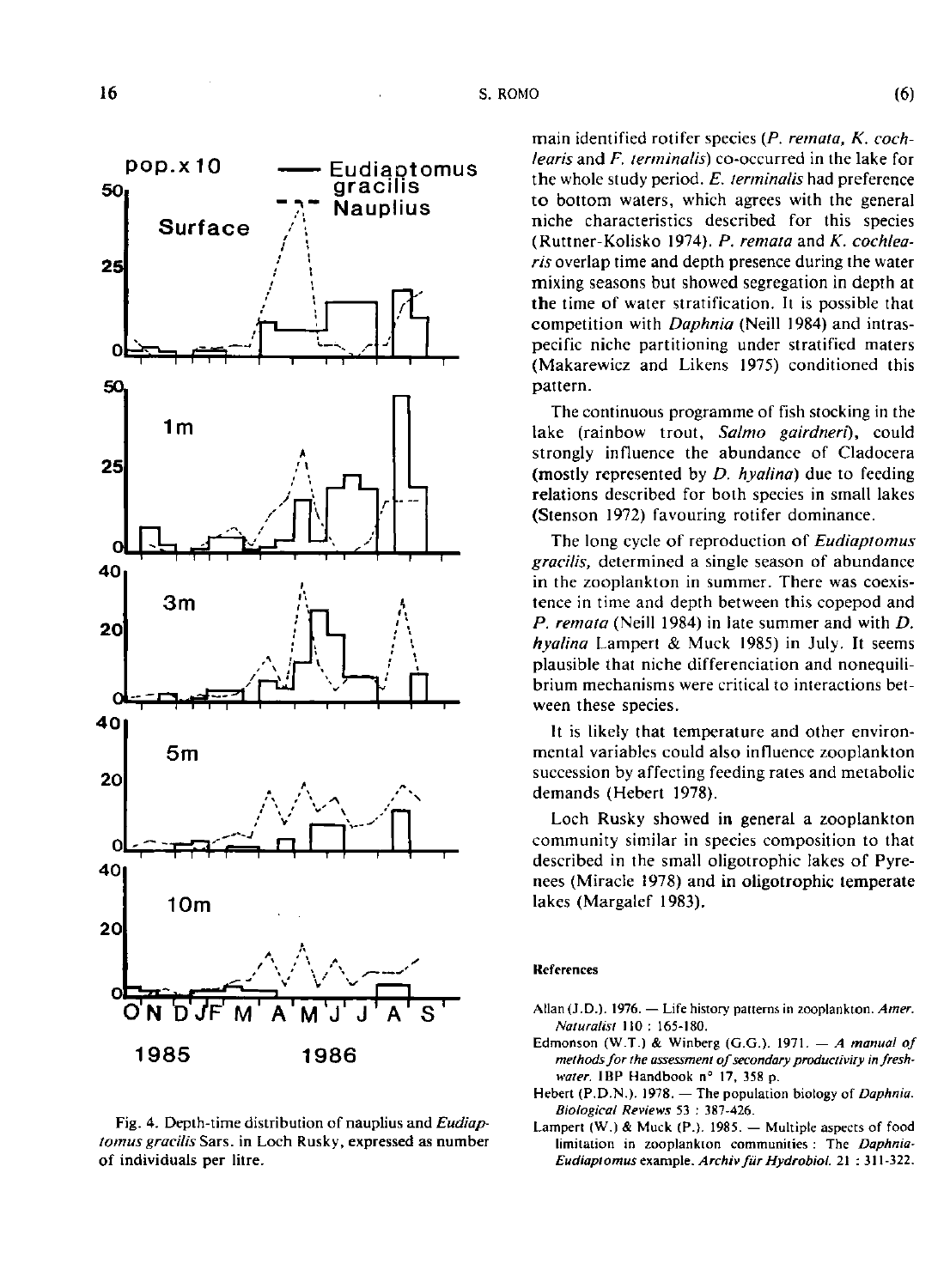

Fig. 4. Depih-iime distribution of nauplius and *Eudiaplomus gracilis* Sars. in Loch Rusky, expressed as number of individuals per litre.

main identified rotifer species *{P. remata, K. cochlearis* and *F. terminalis)* co-occurred in the lake for the whole study period. *E, terminalis* had preference to bottom waters, which agrees with the general niche characteristics described for this species (Ruttner-Kolisko 1974). *P. remata* and *K. cochlearis* overlap time and depth presence during the water mixing seasons but showed segregation in depth at the time of water stratification. It is possible that competition with *Daphnia* (Neill 1984) and intraspecific niche partitioning under stratified maters (Makarewicz and Likens 1975) conditioned this pattern.

The continuous programme of fish stocking in the lake (rainbow trout, *Salmo gairdneri),* could strongly influence the abundance of Cladocera (mostly represented by *D. hyalina)* due to feeding relations described for both species in small lakes (Stenson 1972) favouring rotifer dominance.

The long cycle of reproduction of *Eudiaptomus gracilis,* determined a single season of abundance in the zooplankton in summer. There was coexistence in time and depth between this copepod and *P. remata* (Neill 1984) in late summer and with *D. hyalina* Lampert & Muck 1985) in July. It seems plausible that niche différenciation and nonequilibrium mechanisms were critical to interactions between these species.

It is likely that temperature and other environmental variables could also influence zooplankton succession by affecting feeding rates and metabolic demands (Hebert 1978).

Loch Rusky showed in general a zooplankton community similar in species composition to that described in the small oligotrophic lakes of Pyrenees (Miracle 1978) and in oligotrophic temperate lakes (Margalef 1983).

#### References

- Allan (J.D.). 1976. Life history patterns in zooplankton. *Amer. Naturalist* 110 : 165-180.
- Edmonson (W.T.) & Winberg (G.G.). 1971. — *A manual of methods for the assessmem of secondary producliviry in freshwater.* IBP Handbook n° 17, 358 p.
- Hebert (P.D.N.). 1978. The population biology of *Daphnia. Biological Reviews* 53 : 387-426.
- Lamperl (W.) & Muck (P.). 1985. Multiple aspects of food limitation in zooplankton communities ; The *Daphnia-Eudiaptomus example. Archiv fur Hydrobiol.* 21 : 311-322.